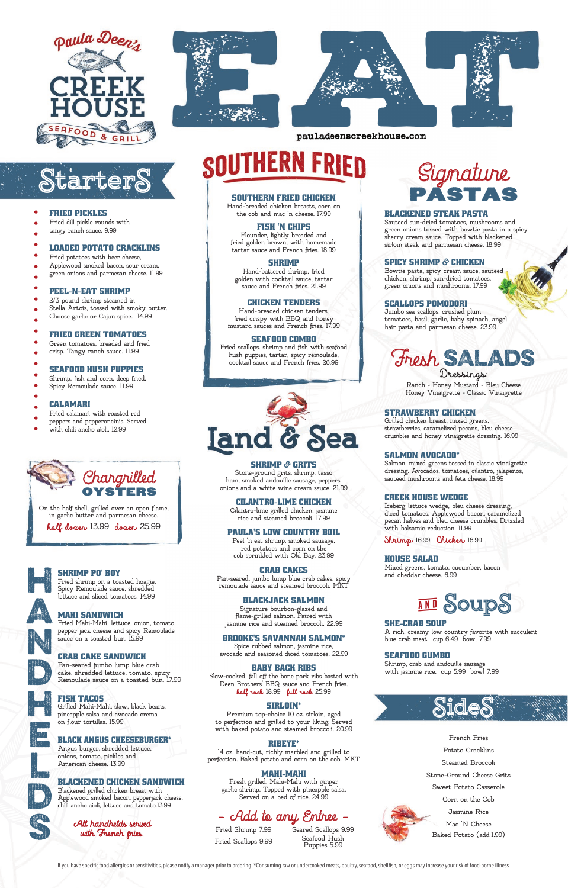





pauladeenscreekhouse.com

#### FRIED PICKLES

- Fried dill pickle rounds with
- tangy ranch sauce. 9.99

#### LOADED POTATO CRACKLINS

- Fried potatoes with beer cheese,
- Applewood smoked bacon, sour cream,
- green onions and parmesan cheese. 11.99

#### PEEL-N-EAT SHRIMP

#### FRIED GREEN TOMATOES

- Green tomatoes, breaded and fried
- crisp. Tangy ranch sauce. 11.99

## SEAFOOD HUSH PUPPIES

- Shrimp, fish and corn, deep fried.
- Spicy Remoulade sauce. 11.99

#### CALAMARI

- Fried calamari with roasted red
- peppers and pepperoncinis. Served
- with chili ancho aioli. 12.99

# **StarterS**

#### SHE-CRAB SOUP

A rich, creamy low country favorite with succulent blue crab meat. cup 6.49 bowl 7.99

#### SEAFOOD GUMBO

Shrimp, crab and andouille sausage with jasmine rice. cup 5.99 bowl 7.99

> French Fries Potato Cracklins Steamed Broccoli Stone-Ground Cheese Grits Sweet Potato Casserole Corn on the Cob Jasmine Rice Mac 'N Cheese Baked Potato (add 1.99)

If you have specific food allergies or sensitivities, please notify a manager prior to ordering. \*Consuming raw or undercooked meats, poultry, seafood, shellfish, or eggs may increase your risk of food-borne illness.



SOUTHERN FRIED CHICKEN Hand-breaded chicken breasts, corn on the cob and mac 'n cheese. 17.99

#### FISH 'N CHIPS

Flounder, lightly breaded and fried golden brown, with homemade tartar sauce and French fries. 18.99

#### **SHRIMP**

Hand-battered shrimp, fried golden with cocktail sauce, tartar sauce and French fries. 21.99

#### CHICKEN TENDERS

Hand-breaded chicken tenders, fried crispy with BBQ and honey mustard sauces and French fries. 17.99

#### SEAFOOD COMBO

Fried scallops. shrimp and fish with seafood hush puppies, tartar, spicy remoulade, cocktail sauce and French fries. 26.99



Ranch - Honey Mustard - Bleu Cheese Honey Vinaigrette - Classic Vinaigrette

#### SHRIMP **&** GRITS

Stone-ground grits, shrimp, tasso ham, smoked andouille sausage, peppers,

onions and a white wine cream sauce. 21.99

# Signature PASTAS

#### CILANTRO-LIME CHICKEN

Cilantro-lime grilled chicken, jasmine rice and steamed broccoli. 17.99

#### PAULA'S LOW COUNTRY BOIL

Peel 'n eat shrimp, smoked sausage, red potatoes and corn on the cob sprinkled with Old Bay. 23.99

#### CRAB CAKES

Pan-seared, jumbo lump blue crab cakes, spicy remoulade sauce and steamed broccoli. MKT

#### BLACKJACK SALMON

Signature bourbon-glazed and

flame-grilled salmon. Paired with jasmine rice and steamed broccoli. 22.99

#### BROOKE'S SAVANNAH SALMON\*

Spice rubbed salmon, jasmine rice, avocado and seasoned diced tomatoes. 22.99

#### BABY BACK RIBS

2/3 pound shrimp steamed in Stella Artois, tossed with smoky butter. Choose garlic or Cajun spice. 14.99 .....................

> Slow-cooked, fall off the bone pork ribs basted with Deen Brothers' BBQ sauce and French fries. half rack 18.99 full rack 25.99

#### SIRLOIN\*

Premium top-choice 10 oz. sirloin, aged to perfection and grilled to your liking. Served with baked potato and steamed broccoli. 20.99

#### RIBEYE\*

14 oz. hand-cut, richly marbled and grilled to perfection. Baked potato and corn on the cob. MKT

#### MAHI-MAHI

Fresh grilled, Mahi-Mahi with ginger garlic shrimp. Topped with pineapple salsa. Served on a bed of rice. 24.99

## - Add to any Entree

# Dressings: Fresh SALADS

### All handhelds served with French fries.

#### BLACKENED STEAK PASTA

Sauteed sun-dried tomatoes, mushrooms and green onions tossed with bowtie pasta in a spicy sherry cream sauce. Topped with blackened sirloin steak and parmesan cheese. 18.99

### SPICY SHRIMP **&** CHICKEN

Bowtie pasta, spicy cream sauce, sauteed chicken, shrimp, sun-dried tomatoes, green onions and mushrooms. 17.99

#### SCALLOPS POMODORI

Jumbo sea scallops, crushed plum tomatoes, basil, garlic, baby spinach, angel hair pasta and parmesan cheese. 23.99





On the half shell, grilled over an open flame, in garlic butter and parmesan cheese.

half dozen 13.99 dozen 25.99

Fried Shrimp 7.99 Fried Scallops 9.99 Seared Scallops 9.99 Seafood Hush Puppies 5.99

#### STRAWBERRY CHICKEN

Grilled chicken breast, mixed greens, strawberries, caramelized pecans, bleu cheese crumbles and honey vinaigrette dressing. 16.99

#### SALMON AVOCADO\*

Salmon, mixed greens tossed in classic vinaigrette dressing. Avocados, tomatoes, cilantro, jalapenos, sauteed mushrooms and feta cheese. 18.99

#### CREEK HOUSE WEDGE

Iceberg lettuce wedge, bleu cheese dressing, diced tomatoes, Applewood bacon, caramelized pecan halves and bleu cheese crumbles. Drizzled with balsamic reduction. 11.99

Shrimp 16.99 Chicken 16.99

#### HOUSE SALAD

Mixed greens, tomato, cucumber, bacon and cheddar cheese. 6.99

H







L





#### SHRIMP PO' BOY

Fried shrimp on a toasted hoagie. Spicy Remoulade sauce, shredded lettuce and sliced tomatoes. 14.99

### MAHI SANDWICH

SOUTHERN FRIED

Fried Mahi-Mahi, lettuce, onion, tomato, pepper jack cheese and spicy Remoulade sauce on a toasted bun. 15.99

#### CRAB CAKE SANDWICH

Pan-seared jumbo lump blue crab cake, shredded lettuce, tomato, spicy Remoulade sauce on a toasted bun. 17.99

#### FISH TACOS

Grilled Mahi-Mahi, slaw, black beans, pineapple salsa and avocado crema on flour tortillas. 15.99

#### BLACK ANGUS CHEESEBURGER\*

Angus burger, shredded lettuce, onions, tomato, pickles and American cheese. 13.99

#### BLACKENED CHICKEN SANDWICH

Blackened grilled chicken breast with Applewood smoked bacon, pepperjack cheese, chili ancho aioli, lettuce and tomato.13.99